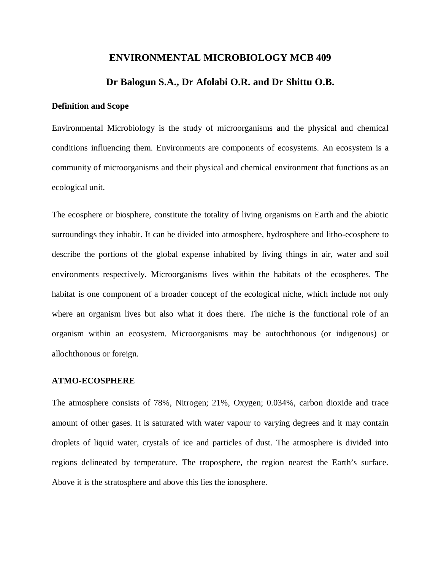# **ENVIRONMENTAL MICROBIOLOGY MCB 409**

## **Dr Balogun S.A., Dr Afolabi O.R. and Dr Shittu O.B.**

#### **Definition and Scope**

Environmental Microbiology is the study of microorganisms and the physical and chemical conditions influencing them. Environments are components of ecosystems. An ecosystem is a community of microorganisms and their physical and chemical environment that functions as an ecological unit.

The ecosphere or biosphere, constitute the totality of living organisms on Earth and the abiotic surroundings they inhabit. It can be divided into atmosphere, hydrosphere and litho-ecosphere to describe the portions of the global expense inhabited by living things in air, water and soil environments respectively. Microorganisms lives within the habitats of the ecospheres. The habitat is one component of a broader concept of the ecological niche, which include not only where an organism lives but also what it does there. The niche is the functional role of an organism within an ecosystem. Microorganisms may be autochthonous (or indigenous) or allochthonous or foreign.

#### **ATMO-ECOSPHERE**

The atmosphere consists of 78%, Nitrogen; 21%, Oxygen; 0.034%, carbon dioxide and trace amount of other gases. It is saturated with water vapour to varying degrees and it may contain droplets of liquid water, crystals of ice and particles of dust. The atmosphere is divided into regions delineated by temperature. The troposphere, the region nearest the Earth's surface. Above it is the stratosphere and above this lies the ionosphere.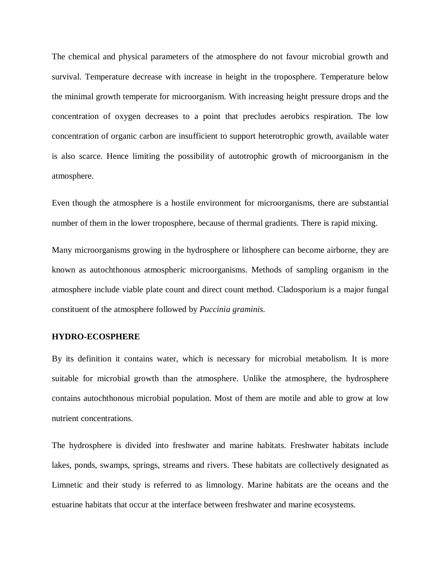The chemical and physical parameters of the atmosphere do not favour microbial growth and survival. Temperature decrease with increase in height in the troposphere. Temperature below the minimal growth temperate for microorganism. With increasing height pressure drops and the concentration of oxygen decreases to a point that precludes aerobics respiration. The low concentration of organic carbon are insufficient to support heterotrophic growth, available water is also scarce. Hence limiting the possibility of autotrophic growth of microorganism in the atmosphere.

Even though the atmosphere is a hostile environment for microorganisms, there are substantial number of them in the lower troposphere, because of thermal gradients. There is rapid mixing.

Many microorganisms growing in the hydrosphere or lithosphere can become airborne, they are known as autochthonous atmospheric microorganisms. Methods of sampling organism in the atmosphere include viable plate count and direct count method. Cladosporium is a major fungal constituent of the atmosphere followed by *Puccinia graminis.*

### **HYDRO-ECOSPHERE**

By its definition it contains water, which is necessary for microbial metabolism. It is more suitable for microbial growth than the atmosphere. Unlike the atmosphere, the hydrosphere contains autochthonous microbial population. Most of them are motile and able to grow at low nutrient concentrations.

The hydrosphere is divided into freshwater and marine habitats. Freshwater habitats include lakes, ponds, swamps, springs, streams and rivers. These habitats are collectively designated as Limnetic and their study is referred to as limnology. Marine habitats are the oceans and the estuarine habitats that occur at the interface between freshwater and marine ecosystems.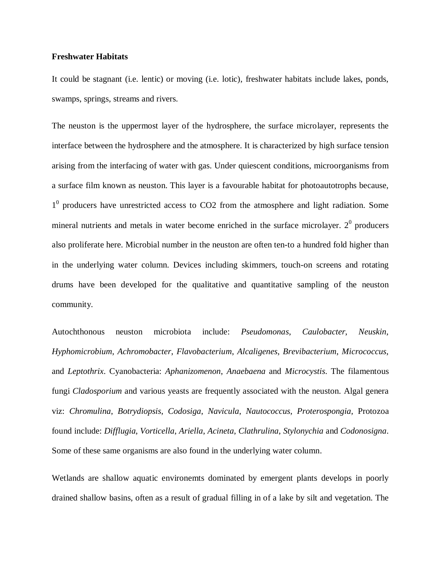### **Freshwater Habitats**

It could be stagnant (i.e. lentic) or moving (i.e. lotic), freshwater habitats include lakes, ponds, swamps, springs, streams and rivers.

The neuston is the uppermost layer of the hydrosphere, the surface microlayer, represents the interface between the hydrosphere and the atmosphere. It is characterized by high surface tension arising from the interfacing of water with gas. Under quiescent conditions, microorganisms from a surface film known as neuston. This layer is a favourable habitat for photoautotrophs because, 1<sup>0</sup> producers have unrestricted access to CO2 from the atmosphere and light radiation. Some mineral nutrients and metals in water become enriched in the surface microlayer.  $2^0$  producers also proliferate here. Microbial number in the neuston are often ten-to a hundred fold higher than in the underlying water column. Devices including skimmers, touch-on screens and rotating drums have been developed for the qualitative and quantitative sampling of the neuston community.

Autochthonous neuston microbiota include: *Pseudomonas*, *Caulobacter*, *Neuskin*, *Hyphomicrobium*, *Achromobacter*, *Flavobacterium*, *Alcaligenes*, *Brevibacterium*, *Micrococcus*, and *Leptothrix*. Cyanobacteria: *Aphanizomenon*, *Anaebaena* and *Microcystis*. The filamentous fungi *Cladosporium* and various yeasts are frequently associated with the neuston. Algal genera viz: *Chromulina*, *Botrydiopsis*, *Codosiga*, *Navicula*, *Nautococcus*, *Proterospongia*, Protozoa found include: *Difflugia*, *Vorticella*, *Ariella*, *Acineta*, *Clathrulina*, *Stylonychia* and *Codonosigna*. Some of these same organisms are also found in the underlying water column.

Wetlands are shallow aquatic environemts dominated by emergent plants develops in poorly drained shallow basins, often as a result of gradual filling in of a lake by silt and vegetation. The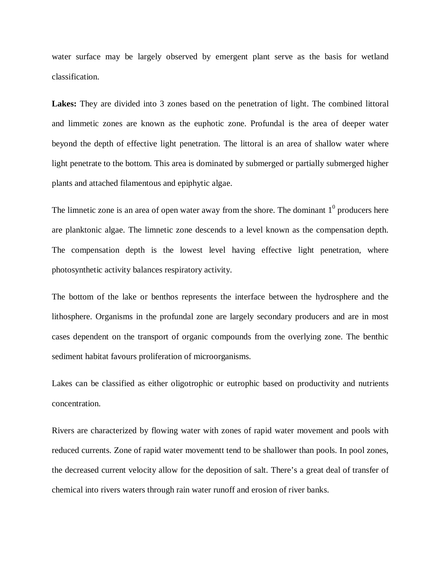water surface may be largely observed by emergent plant serve as the basis for wetland classification.

**Lakes:** They are divided into 3 zones based on the penetration of light. The combined littoral and limmetic zones are known as the euphotic zone. Profundal is the area of deeper water beyond the depth of effective light penetration. The littoral is an area of shallow water where light penetrate to the bottom. This area is dominated by submerged or partially submerged higher plants and attached filamentous and epiphytic algae.

The limnetic zone is an area of open water away from the shore. The dominant  $1<sup>0</sup>$  producers here are planktonic algae. The limnetic zone descends to a level known as the compensation depth. The compensation depth is the lowest level having effective light penetration, where photosynthetic activity balances respiratory activity.

The bottom of the lake or benthos represents the interface between the hydrosphere and the lithosphere. Organisms in the profundal zone are largely secondary producers and are in most cases dependent on the transport of organic compounds from the overlying zone. The benthic sediment habitat favours proliferation of microorganisms.

Lakes can be classified as either oligotrophic or eutrophic based on productivity and nutrients concentration.

Rivers are characterized by flowing water with zones of rapid water movement and pools with reduced currents. Zone of rapid water movementt tend to be shallower than pools. In pool zones, the decreased current velocity allow for the deposition of salt. There's a great deal of transfer of chemical into rivers waters through rain water runoff and erosion of river banks.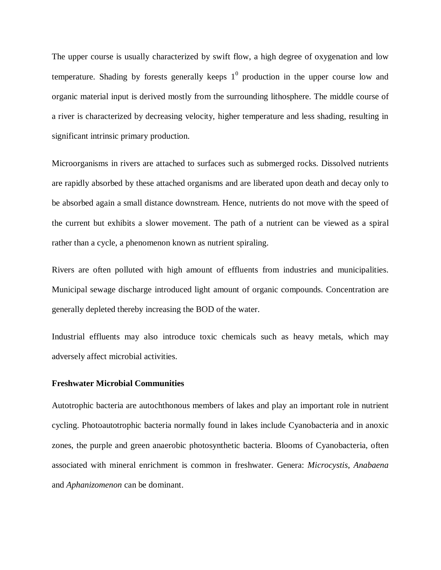The upper course is usually characterized by swift flow, a high degree of oxygenation and low temperature. Shading by forests generally keeps  $1<sup>0</sup>$  production in the upper course low and organic material input is derived mostly from the surrounding lithosphere. The middle course of a river is characterized by decreasing velocity, higher temperature and less shading, resulting in significant intrinsic primary production.

Microorganisms in rivers are attached to surfaces such as submerged rocks. Dissolved nutrients are rapidly absorbed by these attached organisms and are liberated upon death and decay only to be absorbed again a small distance downstream. Hence, nutrients do not move with the speed of the current but exhibits a slower movement. The path of a nutrient can be viewed as a spiral rather than a cycle, a phenomenon known as nutrient spiraling.

Rivers are often polluted with high amount of effluents from industries and municipalities. Municipal sewage discharge introduced light amount of organic compounds. Concentration are generally depleted thereby increasing the BOD of the water.

Industrial effluents may also introduce toxic chemicals such as heavy metals, which may adversely affect microbial activities.

#### **Freshwater Microbial Communities**

Autotrophic bacteria are autochthonous members of lakes and play an important role in nutrient cycling. Photoautotrophic bacteria normally found in lakes include Cyanobacteria and in anoxic zones, the purple and green anaerobic photosynthetic bacteria. Blooms of Cyanobacteria, often associated with mineral enrichment is common in freshwater. Genera: *Microcystis*, *Anabaena* and *Aphanizomenon* can be dominant.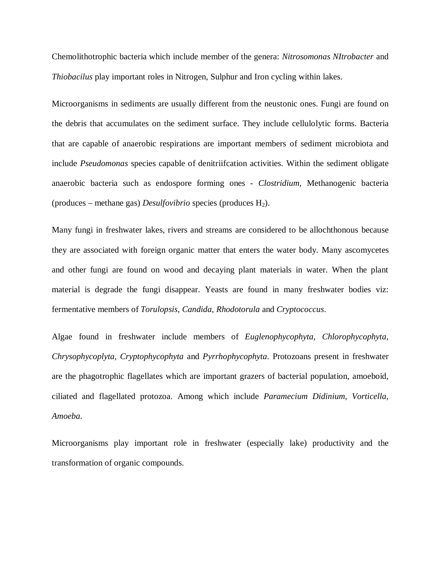Chemolithotrophic bacteria which include member of the genera: *Nitrosomonas NItrobacter* and *Thiobacilus* play important roles in Nitrogen, Sulphur and Iron cycling within lakes.

Microorganisms in sediments are usually different from the neustonic ones. Fungi are found on the debris that accumulates on the sediment surface. They include cellulolytic forms. Bacteria that are capable of anaerobic respirations are important members of sediment microbiota and include *Pseudomonas* species capable of denitriifcation activities. Within the sediment obligate anaerobic bacteria such as endospore forming ones - *Clostridium*, Methanogenic bacteria  $(produces - methane gas)$  *Desulfovibrio* species (produces  $H_2$ ).

Many fungi in freshwater lakes, rivers and streams are considered to be allochthonous because they are associated with foreign organic matter that enters the water body. Many ascomycetes and other fungi are found on wood and decaying plant materials in water. When the plant material is degrade the fungi disappear. Yeasts are found in many freshwater bodies viz: fermentative members of *Torulopsis*, *Candida*, *Rhodotorula* and *Cryptococcus*.

Algae found in freshwater include members of *Euglenophycophyta*, *Chlorophycophyta*, *Chrysophycoplyta*, *Cryptophycophyta* and *Pyrrhophycophyta*. Protozoans present in freshwater are the phagotrophic flagellates which are important grazers of bacterial population, amoeboid, ciliated and flagellated protozoa. Among which include *Paramecium Didinium*, *Vorticella*, *Amoeba*.

Microorganisms play important role in freshwater (especially lake) productivity and the transformation of organic compounds.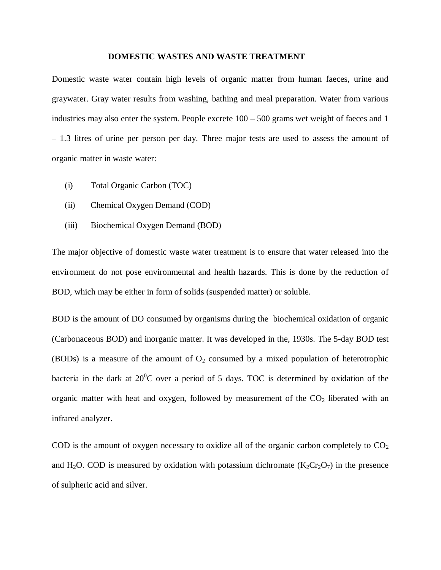### **DOMESTIC WASTES AND WASTE TREATMENT**

Domestic waste water contain high levels of organic matter from human faeces, urine and graywater. Gray water results from washing, bathing and meal preparation. Water from various industries may also enter the system. People excrete 100 – 500 grams wet weight of faeces and 1 – 1.3 litres of urine per person per day. Three major tests are used to assess the amount of organic matter in waste water:

- (i) Total Organic Carbon (TOC)
- (ii) Chemical Oxygen Demand (COD)
- (iii) Biochemical Oxygen Demand (BOD)

The major objective of domestic waste water treatment is to ensure that water released into the environment do not pose environmental and health hazards. This is done by the reduction of BOD, which may be either in form of solids (suspended matter) or soluble.

BOD is the amount of DO consumed by organisms during the biochemical oxidation of organic (Carbonaceous BOD) and inorganic matter. It was developed in the, 1930s. The 5-day BOD test (BODs) is a measure of the amount of  $O<sub>2</sub>$  consumed by a mixed population of heterotrophic bacteria in the dark at  $20^0C$  over a period of 5 days. TOC is determined by oxidation of the organic matter with heat and oxygen, followed by measurement of the  $CO<sub>2</sub>$  liberated with an infrared analyzer.

COD is the amount of oxygen necessary to oxidize all of the organic carbon completely to  $CO<sub>2</sub>$ and H<sub>2</sub>O. COD is measured by oxidation with potassium dichromate (K<sub>2</sub>Cr<sub>2</sub>O<sub>7</sub>) in the presence of sulpheric acid and silver.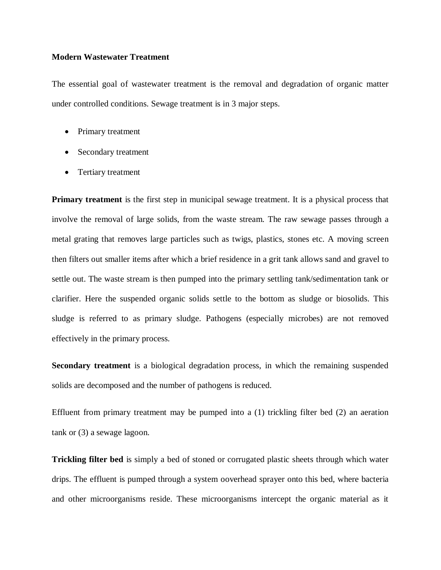## **Modern Wastewater Treatment**

The essential goal of wastewater treatment is the removal and degradation of organic matter under controlled conditions. Sewage treatment is in 3 major steps.

- Primary treatment
- Secondary treatment
- Tertiary treatment

**Primary treatment** is the first step in municipal sewage treatment. It is a physical process that involve the removal of large solids, from the waste stream. The raw sewage passes through a metal grating that removes large particles such as twigs, plastics, stones etc. A moving screen then filters out smaller items after which a brief residence in a grit tank allows sand and gravel to settle out. The waste stream is then pumped into the primary settling tank/sedimentation tank or clarifier. Here the suspended organic solids settle to the bottom as sludge or biosolids. This sludge is referred to as primary sludge. Pathogens (especially microbes) are not removed effectively in the primary process.

**Secondary treatment** is a biological degradation process, in which the remaining suspended solids are decomposed and the number of pathogens is reduced.

Effluent from primary treatment may be pumped into a  $(1)$  trickling filter bed  $(2)$  an aeration tank or (3) a sewage lagoon.

**Trickling filter bed** is simply a bed of stoned or corrugated plastic sheets through which water drips. The effluent is pumped through a system ooverhead sprayer onto this bed, where bacteria and other microorganisms reside. These microorganisms intercept the organic material as it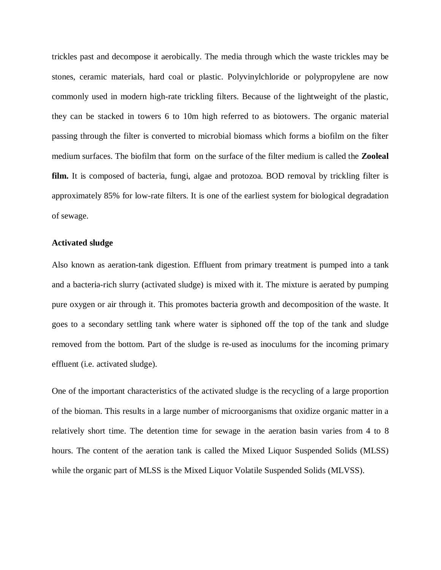trickles past and decompose it aerobically. The media through which the waste trickles may be stones, ceramic materials, hard coal or plastic. Polyvinylchloride or polypropylene are now commonly used in modern high-rate trickling filters. Because of the lightweight of the plastic, they can be stacked in towers 6 to 10m high referred to as biotowers. The organic material passing through the filter is converted to microbial biomass which forms a biofilm on the filter medium surfaces. The biofilm that form on the surface of the filter medium is called the **Zooleal**  film. It is composed of bacteria, fungi, algae and protozoa. BOD removal by trickling filter is approximately 85% for low-rate filters. It is one of the earliest system for biological degradation of sewage.

#### **Activated sludge**

Also known as aeration-tank digestion. Effluent from primary treatment is pumped into a tank and a bacteria-rich slurry (activated sludge) is mixed with it. The mixture is aerated by pumping pure oxygen or air through it. This promotes bacteria growth and decomposition of the waste. It goes to a secondary settling tank where water is siphoned off the top of the tank and sludge removed from the bottom. Part of the sludge is re-used as inoculums for the incoming primary effluent (i.e. activated sludge).

One of the important characteristics of the activated sludge is the recycling of a large proportion of the bioman. This results in a large number of microorganisms that oxidize organic matter in a relatively short time. The detention time for sewage in the aeration basin varies from 4 to 8 hours. The content of the aeration tank is called the Mixed Liquor Suspended Solids (MLSS) while the organic part of MLSS is the Mixed Liquor Volatile Suspended Solids (MLVSS).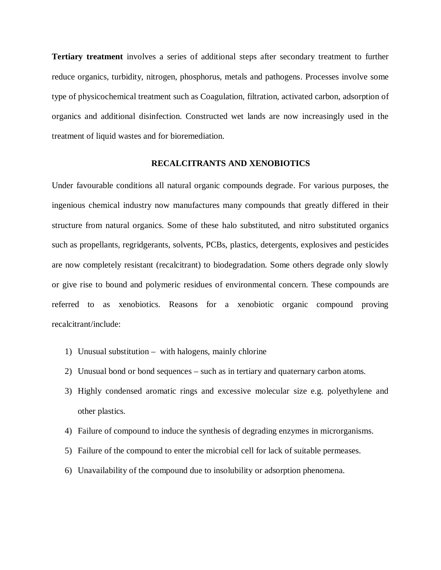**Tertiary treatment** involves a series of additional steps after secondary treatment to further reduce organics, turbidity, nitrogen, phosphorus, metals and pathogens. Processes involve some type of physicochemical treatment such as Coagulation, filtration, activated carbon, adsorption of organics and additional disinfection. Constructed wet lands are now increasingly used in the treatment of liquid wastes and for bioremediation.

### **RECALCITRANTS AND XENOBIOTICS**

Under favourable conditions all natural organic compounds degrade. For various purposes, the ingenious chemical industry now manufactures many compounds that greatly differed in their structure from natural organics. Some of these halo substituted, and nitro substituted organics such as propellants, regridgerants, solvents, PCBs, plastics, detergents, explosives and pesticides are now completely resistant (recalcitrant) to biodegradation. Some others degrade only slowly or give rise to bound and polymeric residues of environmental concern. These compounds are referred to as xenobiotics. Reasons for a xenobiotic organic compound proving recalcitrant/include:

- 1) Unusual substitution with halogens, mainly chlorine
- 2) Unusual bond or bond sequences such as in tertiary and quaternary carbon atoms.
- 3) Highly condensed aromatic rings and excessive molecular size e.g. polyethylene and other plastics.
- 4) Failure of compound to induce the synthesis of degrading enzymes in microrganisms.
- 5) Failure of the compound to enter the microbial cell for lack of suitable permeases.
- 6) Unavailability of the compound due to insolubility or adsorption phenomena.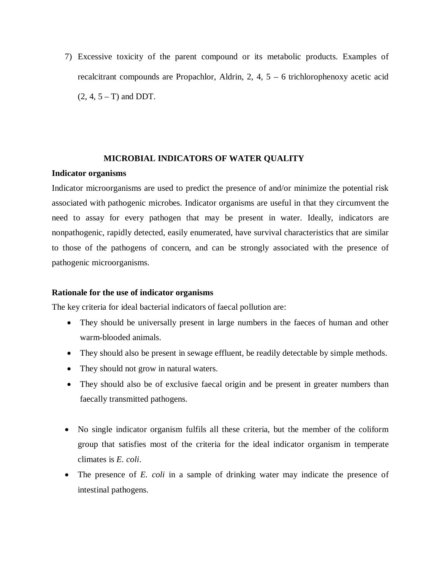7) Excessive toxicity of the parent compound or its metabolic products. Examples of recalcitrant compounds are Propachlor, Aldrin, 2, 4, 5 – 6 trichlorophenoxy acetic acid  $(2, 4, 5 - T)$  and DDT.

## **MICROBIAL INDICATORS OF WATER QUALITY**

## **Indicator organisms**

Indicator microorganisms are used to predict the presence of and/or minimize the potential risk associated with pathogenic microbes. Indicator organisms are useful in that they circumvent the need to assay for every pathogen that may be present in water. Ideally, indicators are nonpathogenic, rapidly detected, easily enumerated, have survival characteristics that are similar to those of the pathogens of concern, and can be strongly associated with the presence of pathogenic microorganisms.

## **Rationale for the use of indicator organisms**

The key criteria for ideal bacterial indicators of faecal pollution are:

- They should be universally present in large numbers in the faeces of human and other warm-blooded animals.
- They should also be present in sewage effluent, be readily detectable by simple methods.
- They should not grow in natural waters.
- They should also be of exclusive faecal origin and be present in greater numbers than faecally transmitted pathogens.
- No single indicator organism fulfils all these criteria, but the member of the coliform group that satisfies most of the criteria for the ideal indicator organism in temperate climates is *E. coli*.
- The presence of *E. coli* in a sample of drinking water may indicate the presence of intestinal pathogens.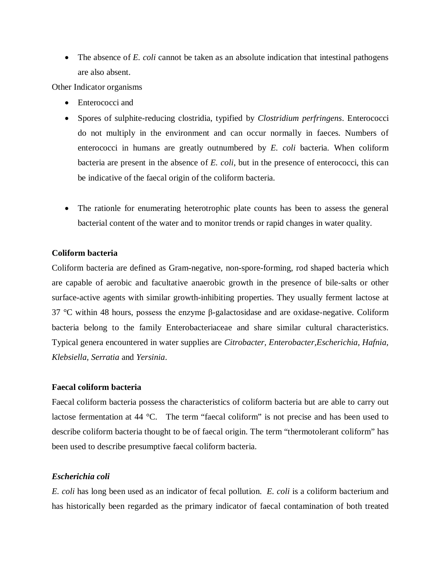• The absence of *E. coli* cannot be taken as an absolute indication that intestinal pathogens are also absent.

Other Indicator organisms

- Enterococci and
- Spores of sulphite-reducing clostridia, typified by *Clostridium perfringens*. Enterococci do not multiply in the environment and can occur normally in faeces. Numbers of enterococci in humans are greatly outnumbered by *E. coli* bacteria. When coliform bacteria are present in the absence of *E. coli*, but in the presence of enterococci, this can be indicative of the faecal origin of the coliform bacteria.
- The rationle for enumerating heterotrophic plate counts has been to assess the general bacterial content of the water and to monitor trends or rapid changes in water quality.

## **Coliform bacteria**

Coliform bacteria are defined as Gram-negative, non-spore-forming, rod shaped bacteria which are capable of aerobic and facultative anaerobic growth in the presence of bile-salts or other surface-active agents with similar growth-inhibiting properties. They usually ferment lactose at 37 °C within 48 hours, possess the enzyme β-galactosidase and are oxidase-negative. Coliform bacteria belong to the family Enterobacteriaceae and share similar cultural characteristics. Typical genera encountered in water supplies are *Citrobacter, Enterobacter,Escherichia, Hafnia, Klebsiella, Serratia* and *Yersinia*.

## **Faecal coliform bacteria**

Faecal coliform bacteria possess the characteristics of coliform bacteria but are able to carry out lactose fermentation at 44 °C. The term "faecal coliform" is not precise and has been used to describe coliform bacteria thought to be of faecal origin. The term "thermotolerant coliform" has been used to describe presumptive faecal coliform bacteria.

# *Escherichia coli*

*E. coli* has long been used as an indicator of fecal pollution. *E. coli* is a coliform bacterium and has historically been regarded as the primary indicator of faecal contamination of both treated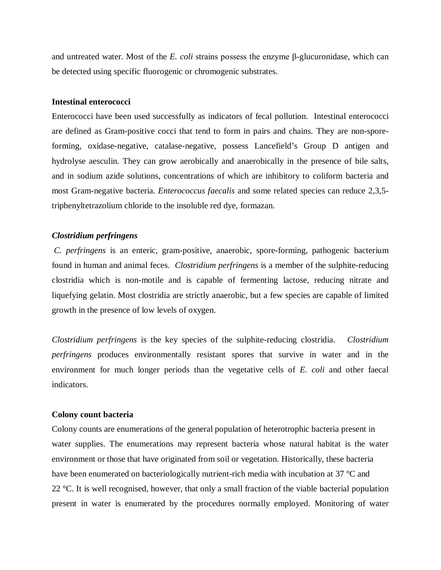and untreated water. Most of the *E. coli* strains possess the enzyme β-glucuronidase, which can be detected using specific fluorogenic or chromogenic substrates.

### **Intestinal enterococci**

Enterococci have been used successfully as indicators of fecal pollution. Intestinal enterococci are defined as Gram-positive cocci that tend to form in pairs and chains. They are non-sporeforming, oxidase-negative, catalase-negative, possess Lancefield's Group D antigen and hydrolyse aesculin. They can grow aerobically and anaerobically in the presence of bile salts, and in sodium azide solutions, concentrations of which are inhibitory to coliform bacteria and most Gram-negative bacteria. *Enterococcus faecalis* and some related species can reduce 2,3,5 triphenyltetrazolium chloride to the insoluble red dye, formazan.

#### *Clostridium perfringens*

*C. perfringens* is an enteric, gram-positive, anaerobic, spore-forming, pathogenic bacterium found in human and animal feces. *Clostridium perfringens* is a member of the sulphite-reducing clostridia which is non-motile and is capable of fermenting lactose, reducing nitrate and liquefying gelatin. Most clostridia are strictly anaerobic, but a few species are capable of limited growth in the presence of low levels of oxygen.

*Clostridium perfringens* is the key species of the sulphite-reducing clostridia. *Clostridium perfringens* produces environmentally resistant spores that survive in water and in the environment for much longer periods than the vegetative cells of *E. coli* and other faecal indicators.

#### **Colony count bacteria**

Colony counts are enumerations of the general population of heterotrophic bacteria present in water supplies. The enumerations may represent bacteria whose natural habitat is the water environment or those that have originated from soil or vegetation. Historically, these bacteria have been enumerated on bacteriologically nutrient-rich media with incubation at 37 °C and 22 °C. It is well recognised, however, that only a small fraction of the viable bacterial population present in water is enumerated by the procedures normally employed. Monitoring of water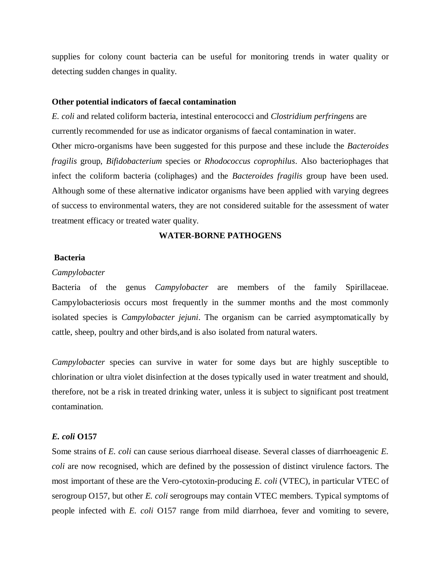supplies for colony count bacteria can be useful for monitoring trends in water quality or detecting sudden changes in quality.

#### **Other potential indicators of faecal contamination**

*E. coli* and related coliform bacteria, intestinal enterococci and *Clostridium perfringens* are currently recommended for use as indicator organisms of faecal contamination in water. Other micro-organisms have been suggested for this purpose and these include the *Bacteroides fragilis* group, *Bifidobacterium* species or *Rhodococcus coprophilus*. Also bacteriophages that infect the coliform bacteria (coliphages) and the *Bacteroides fragilis* group have been used. Although some of these alternative indicator organisms have been applied with varying degrees of success to environmental waters, they are not considered suitable for the assessment of water treatment efficacy or treated water quality.

### **WATER-BORNE PATHOGENS**

#### **Bacteria**

### *Campylobacter*

Bacteria of the genus *Campylobacter* are members of the family Spirillaceae. Campylobacteriosis occurs most frequently in the summer months and the most commonly isolated species is *Campylobacter jejuni*. The organism can be carried asymptomatically by cattle, sheep, poultry and other birds,and is also isolated from natural waters.

*Campylobacter* species can survive in water for some days but are highly susceptible to chlorination or ultra violet disinfection at the doses typically used in water treatment and should, therefore, not be a risk in treated drinking water, unless it is subject to significant post treatment contamination.

## *E. coli* **O157**

Some strains of *E. coli* can cause serious diarrhoeal disease. Several classes of diarrhoeagenic *E. coli* are now recognised, which are defined by the possession of distinct virulence factors. The most important of these are the Vero-cytotoxin-producing *E. coli* (VTEC), in particular VTEC of serogroup O157, but other *E. coli* serogroups may contain VTEC members. Typical symptoms of people infected with *E. coli* O157 range from mild diarrhoea, fever and vomiting to severe,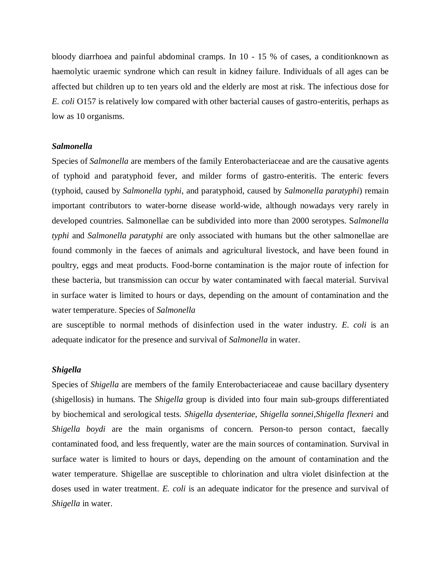bloody diarrhoea and painful abdominal cramps. In 10 - 15 % of cases, a conditionknown as haemolytic uraemic syndrone which can result in kidney failure. Individuals of all ages can be affected but children up to ten years old and the elderly are most at risk. The infectious dose for *E. coli* O157 is relatively low compared with other bacterial causes of gastro-enteritis, perhaps as low as 10 organisms.

## *Salmonella*

Species of *Salmonella* are members of the family Enterobacteriaceae and are the causative agents of typhoid and paratyphoid fever, and milder forms of gastro-enteritis. The enteric fevers (typhoid, caused by *Salmonella typhi*, and paratyphoid, caused by *Salmonella paratyphi*) remain important contributors to water-borne disease world-wide, although nowadays very rarely in developed countries. Salmonellae can be subdivided into more than 2000 serotypes. S*almonella typhi* and *Salmonella paratyphi* are only associated with humans but the other salmonellae are found commonly in the faeces of animals and agricultural livestock, and have been found in poultry, eggs and meat products. Food-borne contamination is the major route of infection for these bacteria, but transmission can occur by water contaminated with faecal material. Survival in surface water is limited to hours or days, depending on the amount of contamination and the water temperature. Species of *Salmonella*

are susceptible to normal methods of disinfection used in the water industry. *E. coli* is an adequate indicator for the presence and survival of *Salmonella* in water.

## *Shigella*

Species of *Shigella* are members of the family Enterobacteriaceae and cause bacillary dysentery (shigellosis) in humans. The *Shigella* group is divided into four main sub-groups differentiated by biochemical and serological tests*. Shigella dysenteriae, Shigella sonnei,Shigella flexneri* and *Shigella boydi* are the main organisms of concern. Person-to person contact, faecally contaminated food, and less frequently, water are the main sources of contamination. Survival in surface water is limited to hours or days, depending on the amount of contamination and the water temperature. Shigellae are susceptible to chlorination and ultra violet disinfection at the doses used in water treatment. *E. coli* is an adequate indicator for the presence and survival of *Shigella* in water.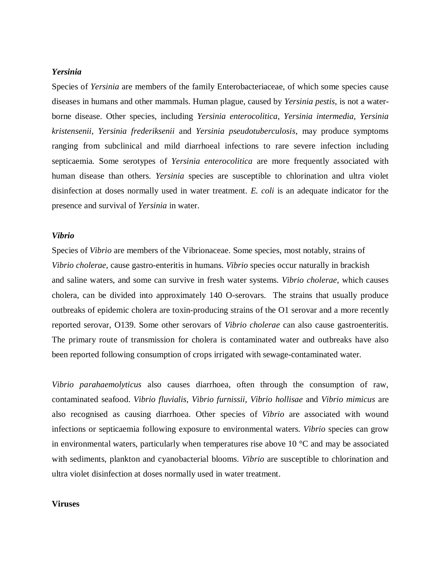## *Yersinia*

Species of *Yersinia* are members of the family Enterobacteriaceae, of which some species cause diseases in humans and other mammals. Human plague, caused by *Yersinia pestis*, is not a waterborne disease. Other species, including *Yersinia enterocolitica*, *Yersinia intermedia*, *Yersinia kristensenii*, *Yersinia frederiksenii* and *Yersinia pseudotuberculosis*, may produce symptoms ranging from subclinical and mild diarrhoeal infections to rare severe infection including septicaemia*.* Some serotypes of *Yersinia enterocolitica* are more frequently associated with human disease than others. *Yersinia* species are susceptible to chlorination and ultra violet disinfection at doses normally used in water treatment. *E. coli* is an adequate indicator for the presence and survival of *Yersinia* in water.

#### *Vibrio*

Species of *Vibrio* are members of the Vibrionaceae. Some species, most notably, strains of *Vibrio cholerae*, cause gastro-enteritis in humans. *Vibrio* species occur naturally in brackish and saline waters, and some can survive in fresh water systems. *Vibrio cholerae*, which causes cholera, can be divided into approximately 140 O-serovars. The strains that usually produce outbreaks of epidemic cholera are toxin-producing strains of the O1 serovar and a more recently reported serovar, O139. Some other serovars of *Vibrio cholerae* can also cause gastroenteritis. The primary route of transmission for cholera is contaminated water and outbreaks have also been reported following consumption of crops irrigated with sewage-contaminated water.

*Vibrio parahaemolyticus* also causes diarrhoea, often through the consumption of raw, contaminated seafood. *Vibrio fluvialis*, *Vibrio furnissii*, *Vibrio hollisae* and *Vibrio mimicus* are also recognised as causing diarrhoea. Other species of *Vibrio* are associated with wound infections or septicaemia following exposure to environmental waters. *Vibrio* species can grow in environmental waters, particularly when temperatures rise above 10 °C and may be associated with sediments, plankton and cyanobacterial blooms. *Vibrio* are susceptible to chlorination and ultra violet disinfection at doses normally used in water treatment.

### **Viruses**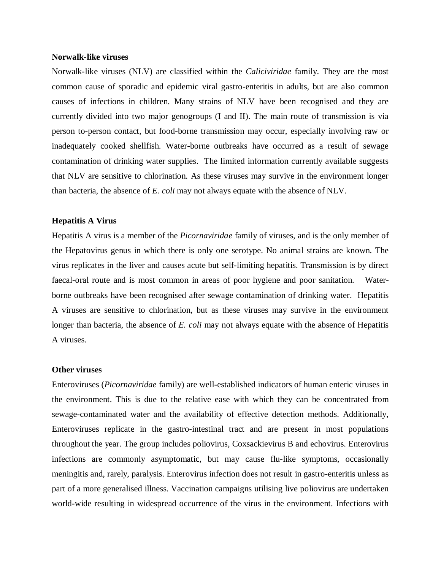### **Norwalk-like viruses**

Norwalk-like viruses (NLV) are classified within the *Caliciviridae* family. They are the most common cause of sporadic and epidemic viral gastro-enteritis in adults, but are also common causes of infections in children. Many strains of NLV have been recognised and they are currently divided into two major genogroups (I and II). The main route of transmission is via person to-person contact, but food-borne transmission may occur, especially involving raw or inadequately cooked shellfish. Water-borne outbreaks have occurred as a result of sewage contamination of drinking water supplies. The limited information currently available suggests that NLV are sensitive to chlorination. As these viruses may survive in the environment longer than bacteria, the absence of *E. coli* may not always equate with the absence of NLV.

#### **Hepatitis A Virus**

Hepatitis A virus is a member of the *Picornaviridae* family of viruses, and is the only member of the Hepatovirus genus in which there is only one serotype. No animal strains are known. The virus replicates in the liver and causes acute but self-limiting hepatitis. Transmission is by direct faecal-oral route and is most common in areas of poor hygiene and poor sanitation. Waterborne outbreaks have been recognised after sewage contamination of drinking water. Hepatitis A viruses are sensitive to chlorination, but as these viruses may survive in the environment longer than bacteria, the absence of *E. coli* may not always equate with the absence of Hepatitis A viruses.

#### **Other viruses**

Enteroviruses (*Picornaviridae* family) are well-established indicators of human enteric viruses in the environment. This is due to the relative ease with which they can be concentrated from sewage-contaminated water and the availability of effective detection methods. Additionally, Enteroviruses replicate in the gastro-intestinal tract and are present in most populations throughout the year. The group includes poliovirus, Coxsackievirus B and echovirus. Enterovirus infections are commonly asymptomatic, but may cause flu-like symptoms, occasionally meningitis and, rarely, paralysis. Enterovirus infection does not result in gastro-enteritis unless as part of a more generalised illness. Vaccination campaigns utilising live poliovirus are undertaken world-wide resulting in widespread occurrence of the virus in the environment. Infections with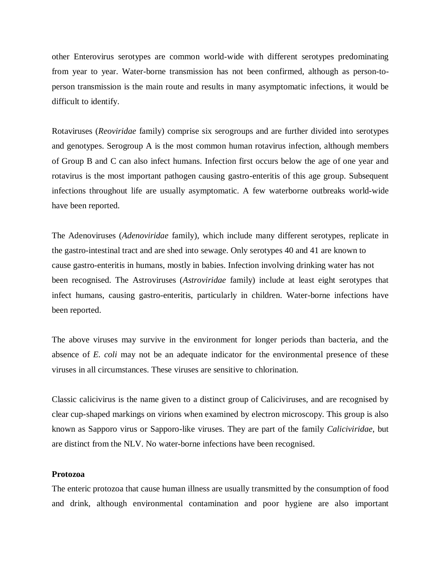other Enterovirus serotypes are common world-wide with different serotypes predominating from year to year. Water-borne transmission has not been confirmed, although as person-toperson transmission is the main route and results in many asymptomatic infections, it would be difficult to identify.

Rotaviruses (*Reoviridae* family) comprise six serogroups and are further divided into serotypes and genotypes. Serogroup A is the most common human rotavirus infection, although members of Group B and C can also infect humans. Infection first occurs below the age of one year and rotavirus is the most important pathogen causing gastro-enteritis of this age group. Subsequent infections throughout life are usually asymptomatic. A few waterborne outbreaks world-wide have been reported.

The Adenoviruses (*Adenoviridae* family), which include many different serotypes, replicate in the gastro-intestinal tract and are shed into sewage. Only serotypes 40 and 41 are known to cause gastro-enteritis in humans, mostly in babies. Infection involving drinking water has not been recognised. The Astroviruses (*Astroviridae* family) include at least eight serotypes that infect humans, causing gastro-enteritis, particularly in children. Water-borne infections have been reported.

The above viruses may survive in the environment for longer periods than bacteria, and the absence of *E. coli* may not be an adequate indicator for the environmental presence of these viruses in all circumstances. These viruses are sensitive to chlorination.

Classic calicivirus is the name given to a distinct group of Caliciviruses, and are recognised by clear cup-shaped markings on virions when examined by electron microscopy. This group is also known as Sapporo virus or Sapporo-like viruses. They are part of the family *Caliciviridae*, but are distinct from the NLV. No water-borne infections have been recognised.

### **Protozoa**

The enteric protozoa that cause human illness are usually transmitted by the consumption of food and drink, although environmental contamination and poor hygiene are also important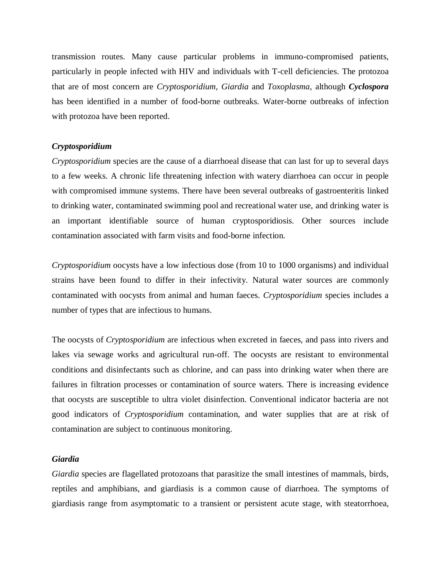transmission routes. Many cause particular problems in immuno-compromised patients, particularly in people infected with HIV and individuals with T-cell deficiencies. The protozoa that are of most concern are *Cryptosporidium*, *Giardia* and *Toxoplasma*, although *Cyclospora* has been identified in a number of food-borne outbreaks. Water-borne outbreaks of infection with protozoa have been reported.

## *Cryptosporidium*

*Cryptosporidium* species are the cause of a diarrhoeal disease that can last for up to several days to a few weeks. A chronic life threatening infection with watery diarrhoea can occur in people with compromised immune systems. There have been several outbreaks of gastroenteritis linked to drinking water, contaminated swimming pool and recreational water use, and drinking water is an important identifiable source of human cryptosporidiosis. Other sources include contamination associated with farm visits and food-borne infection.

*Cryptosporidium* oocysts have a low infectious dose (from 10 to 1000 organisms) and individual strains have been found to differ in their infectivity. Natural water sources are commonly contaminated with oocysts from animal and human faeces. *Cryptosporidium* species includes a number of types that are infectious to humans.

The oocysts of *Cryptosporidium* are infectious when excreted in faeces, and pass into rivers and lakes via sewage works and agricultural run-off. The oocysts are resistant to environmental conditions and disinfectants such as chlorine, and can pass into drinking water when there are failures in filtration processes or contamination of source waters. There is increasing evidence that oocysts are susceptible to ultra violet disinfection. Conventional indicator bacteria are not good indicators of *Cryptosporidium* contamination, and water supplies that are at risk of contamination are subject to continuous monitoring.

## *Giardia*

*Giardia* species are flagellated protozoans that parasitize the small intestines of mammals, birds, reptiles and amphibians, and giardiasis is a common cause of diarrhoea. The symptoms of giardiasis range from asymptomatic to a transient or persistent acute stage, with steatorrhoea,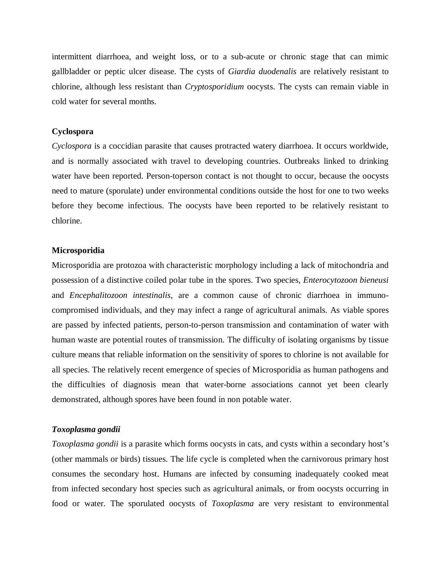intermittent diarrhoea, and weight loss, or to a sub-acute or chronic stage that can mimic gallbladder or peptic ulcer disease. The cysts of *Giardia duodenalis* are relatively resistant to chlorine, although less resistant than *Cryptosporidium* oocysts. The cysts can remain viable in cold water for several months.

## **Cyclospora**

*Cyclospora* is a coccidian parasite that causes protracted watery diarrhoea. It occurs worldwide, and is normally associated with travel to developing countries. Outbreaks linked to drinking water have been reported. Person-toperson contact is not thought to occur, because the oocysts need to mature (sporulate) under environmental conditions outside the host for one to two weeks before they become infectious. The oocysts have been reported to be relatively resistant to chlorine.

#### **Microsporidia**

Microsporidia are protozoa with characteristic morphology including a lack of mitochondria and possession of a distinctive coiled polar tube in the spores. Two species, *Enterocytozoon bieneusi*  and *Encephalitozoon intestinalis*, are a common cause of chronic diarrhoea in immunocompromised individuals, and they may infect a range of agricultural animals. As viable spores are passed by infected patients, person-to-person transmission and contamination of water with human waste are potential routes of transmission. The difficulty of isolating organisms by tissue culture means that reliable information on the sensitivity of spores to chlorine is not available for all species. The relatively recent emergence of species of Microsporidia as human pathogens and the difficulties of diagnosis mean that water-borne associations cannot yet been clearly demonstrated, although spores have been found in non potable water.

## *Toxoplasma gondii*

*Toxoplasma gondii* is a parasite which forms oocysts in cats, and cysts within a secondary host's (other mammals or birds) tissues. The life cycle is completed when the carnivorous primary host consumes the secondary host. Humans are infected by consuming inadequately cooked meat from infected secondary host species such as agricultural animals, or from oocysts occurring in food or water. The sporulated oocysts of *Toxoplasma* are very resistant to environmental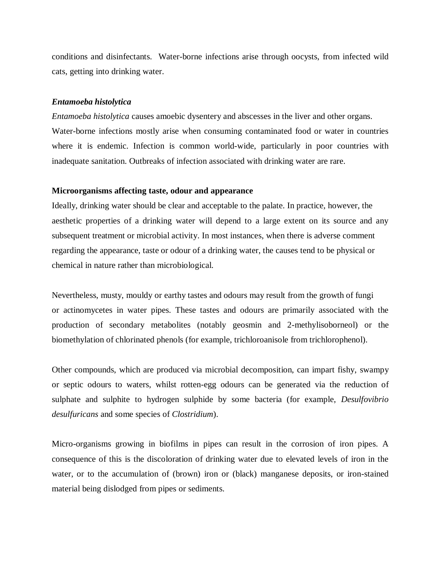conditions and disinfectants. Water-borne infections arise through oocysts, from infected wild cats, getting into drinking water.

### *Entamoeba histolytica*

*Entamoeba histolytica* causes amoebic dysentery and abscesses in the liver and other organs. Water-borne infections mostly arise when consuming contaminated food or water in countries where it is endemic. Infection is common world-wide, particularly in poor countries with inadequate sanitation. Outbreaks of infection associated with drinking water are rare.

### **Microorganisms affecting taste, odour and appearance**

Ideally, drinking water should be clear and acceptable to the palate. In practice, however, the aesthetic properties of a drinking water will depend to a large extent on its source and any subsequent treatment or microbial activity. In most instances, when there is adverse comment regarding the appearance, taste or odour of a drinking water, the causes tend to be physical or chemical in nature rather than microbiological.

Nevertheless, musty, mouldy or earthy tastes and odours may result from the growth of fungi or actinomycetes in water pipes. These tastes and odours are primarily associated with the production of secondary metabolites (notably geosmin and 2-methylisoborneol) or the biomethylation of chlorinated phenols (for example, trichloroanisole from trichlorophenol).

Other compounds, which are produced via microbial decomposition, can impart fishy, swampy or septic odours to waters, whilst rotten-egg odours can be generated via the reduction of sulphate and sulphite to hydrogen sulphide by some bacteria (for example, *Desulfovibrio desulfuricans* and some species of *Clostridium*).

Micro-organisms growing in biofilms in pipes can result in the corrosion of iron pipes. A consequence of this is the discoloration of drinking water due to elevated levels of iron in the water, or to the accumulation of (brown) iron or (black) manganese deposits, or iron-stained material being dislodged from pipes or sediments.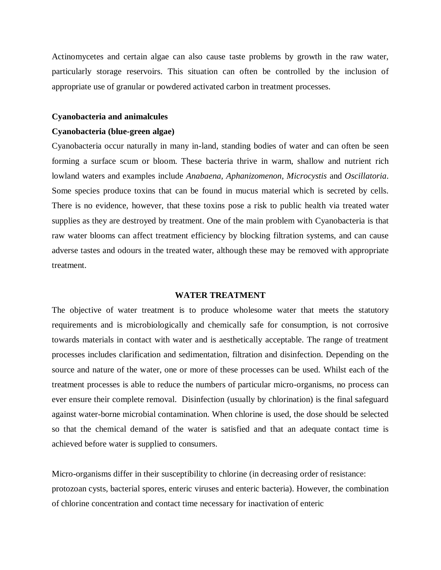Actinomycetes and certain algae can also cause taste problems by growth in the raw water, particularly storage reservoirs. This situation can often be controlled by the inclusion of appropriate use of granular or powdered activated carbon in treatment processes.

#### **Cyanobacteria and animalcules**

### **Cyanobacteria (blue-green algae)**

Cyanobacteria occur naturally in many in-land, standing bodies of water and can often be seen forming a surface scum or bloom. These bacteria thrive in warm, shallow and nutrient rich lowland waters and examples include *Anabaena, Aphanizomenon, Microcystis* and *Oscillatoria*. Some species produce toxins that can be found in mucus material which is secreted by cells. There is no evidence, however, that these toxins pose a risk to public health via treated water supplies as they are destroyed by treatment. One of the main problem with Cyanobacteria is that raw water blooms can affect treatment efficiency by blocking filtration systems, and can cause adverse tastes and odours in the treated water, although these may be removed with appropriate treatment.

#### **WATER TREATMENT**

The objective of water treatment is to produce wholesome water that meets the statutory requirements and is microbiologically and chemically safe for consumption, is not corrosive towards materials in contact with water and is aesthetically acceptable. The range of treatment processes includes clarification and sedimentation, filtration and disinfection. Depending on the source and nature of the water, one or more of these processes can be used. Whilst each of the treatment processes is able to reduce the numbers of particular micro-organisms, no process can ever ensure their complete removal. Disinfection (usually by chlorination) is the final safeguard against water-borne microbial contamination. When chlorine is used, the dose should be selected so that the chemical demand of the water is satisfied and that an adequate contact time is achieved before water is supplied to consumers.

Micro-organisms differ in their susceptibility to chlorine (in decreasing order of resistance: protozoan cysts, bacterial spores, enteric viruses and enteric bacteria). However, the combination of chlorine concentration and contact time necessary for inactivation of enteric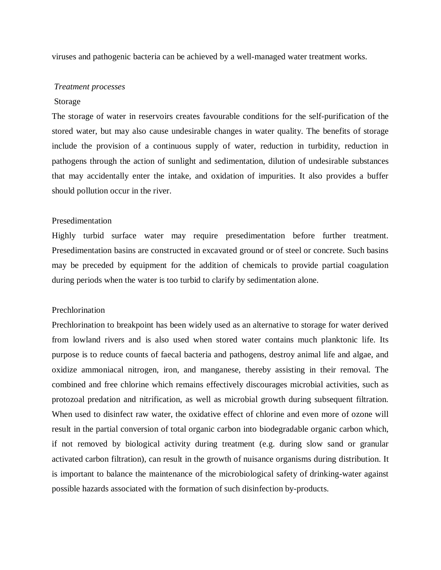viruses and pathogenic bacteria can be achieved by a well-managed water treatment works.

#### *Treatment processes*

#### Storage

The storage of water in reservoirs creates favourable conditions for the self-purification of the stored water, but may also cause undesirable changes in water quality. The benefits of storage include the provision of a continuous supply of water, reduction in turbidity, reduction in pathogens through the action of sunlight and sedimentation, dilution of undesirable substances that may accidentally enter the intake, and oxidation of impurities. It also provides a buffer should pollution occur in the river.

## Presedimentation

Highly turbid surface water may require presedimentation before further treatment. Presedimentation basins are constructed in excavated ground or of steel or concrete. Such basins may be preceded by equipment for the addition of chemicals to provide partial coagulation during periods when the water is too turbid to clarify by sedimentation alone.

### Prechlorination

Prechlorination to breakpoint has been widely used as an alternative to storage for water derived from lowland rivers and is also used when stored water contains much planktonic life. Its purpose is to reduce counts of faecal bacteria and pathogens, destroy animal life and algae, and oxidize ammoniacal nitrogen, iron, and manganese, thereby assisting in their removal. The combined and free chlorine which remains effectively discourages microbial activities, such as protozoal predation and nitrification, as well as microbial growth during subsequent filtration. When used to disinfect raw water, the oxidative effect of chlorine and even more of ozone will result in the partial conversion of total organic carbon into biodegradable organic carbon which, if not removed by biological activity during treatment (e.g. during slow sand or granular activated carbon filtration), can result in the growth of nuisance organisms during distribution. It is important to balance the maintenance of the microbiological safety of drinking-water against possible hazards associated with the formation of such disinfection by-products.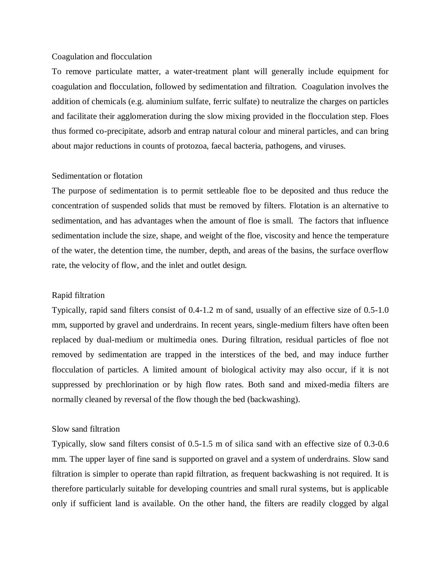#### Coagulation and flocculation

To remove particulate matter, a water-treatment plant will generally include equipment for coagulation and flocculation, followed by sedimentation and filtration. Coagulation involves the addition of chemicals (e.g. aluminium sulfate, ferric sulfate) to neutralize the charges on particles and facilitate their agglomeration during the slow mixing provided in the flocculation step. Floes thus formed co-precipitate, adsorb and entrap natural colour and mineral particles, and can bring about major reductions in counts of protozoa, faecal bacteria, pathogens, and viruses.

## Sedimentation or flotation

The purpose of sedimentation is to permit settleable floe to be deposited and thus reduce the concentration of suspended solids that must be removed by filters*.* Flotation is an alternative to sedimentation, and has advantages when the amount of floe is small. The factors that influence sedimentation include the size, shape, and weight of the floe, viscosity and hence the temperature of the water, the detention time, the number, depth, and areas of the basins, the surface overflow rate, the velocity of flow, and the inlet and outlet design*.*

#### Rapid filtration

Typically, rapid sand filters consist of 0.4-1.2 m of sand, usually of an effective size of 0.5-1.0 mm, supported by gravel and underdrains. In recent years, single-medium filters have often been replaced by dual-medium or multimedia ones. During filtration, residual particles of floe not removed by sedimentation are trapped in the interstices of the bed, and may induce further flocculation of particles. A limited amount of biological activity may also occur, if it is not suppressed by prechlorination or by high flow rates. Both sand and mixed-media filters are normally cleaned by reversal of the flow though the bed (backwashing).

### Slow sand filtration

Typically, slow sand filters consist of 0.5-1.5 m of silica sand with an effective size of 0.3-0.6 mm. The upper layer of fine sand is supported on gravel and a system of underdrains. Slow sand filtration is simpler to operate than rapid filtration, as frequent backwashing is not required*.* It is therefore particularly suitable for developing countries and small rural systems, but is applicable only if sufficient land is available. On the other hand, the filters are readily clogged by algal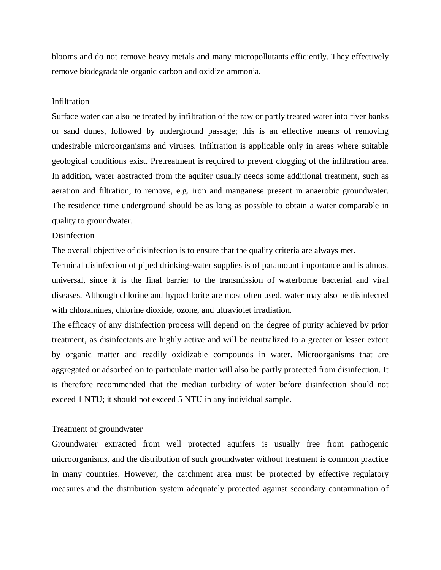blooms and do not remove heavy metals and many micropollutants efficiently. They effectively remove biodegradable organic carbon and oxidize ammonia.

#### Infiltration

Surface water can also be treated by infiltration of the raw or partly treated water into river banks or sand dunes, followed by underground passage; this is an effective means of removing undesirable microorganisms and viruses. Infiltration is applicable only in areas where suitable geological conditions exist. Pretreatment is required to prevent clogging of the infiltration area. In addition, water abstracted from the aquifer usually needs some additional treatment, such as aeration and filtration, to remove, e.g. iron and manganese present in anaerobic groundwater. The residence time underground should be as long as possible to obtain a water comparable in quality to groundwater.

### Disinfection

The overall objective of disinfection is to ensure that the quality criteria are always met.

Terminal disinfection of piped drinking-water supplies is of paramount importance and is almost universal, since it is the final barrier to the transmission of waterborne bacterial and viral diseases. Although chlorine and hypochlorite are most often used, water may also be disinfected with chloramines, chlorine dioxide, ozone, and ultraviolet irradiation*.*

The efficacy of any disinfection process will depend on the degree of purity achieved by prior treatment, as disinfectants are highly active and will be neutralized to a greater or lesser extent by organic matter and readily oxidizable compounds in water. Microorganisms that are aggregated or adsorbed on to particulate matter will also be partly protected from disinfection. It is therefore recommended that the median turbidity of water before disinfection should not exceed 1 NTU; it should not exceed 5 NTU in any individual sample.

#### Treatment of groundwater

Groundwater extracted from well protected aquifers is usually free from pathogenic microorganisms, and the distribution of such groundwater without treatment is common practice in many countries. However, the catchment area must be protected by effective regulatory measures and the distribution system adequately protected against secondary contamination of